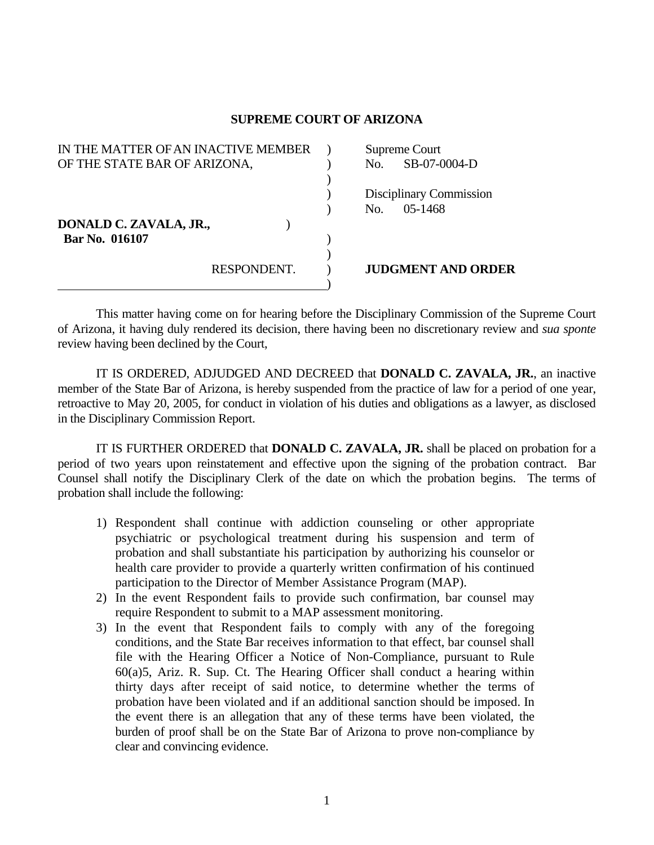## **SUPREME COURT OF ARIZONA**

| IN THE MATTER OF AN INACTIVE MEMBER | Supreme Court             |
|-------------------------------------|---------------------------|
| OF THE STATE BAR OF ARIZONA,        | SB-07-0004-D<br>No.       |
|                                     |                           |
|                                     | Disciplinary Commission   |
|                                     | $05 - 1468$<br>No.        |
| DONALD C. ZAVALA, JR.,              |                           |
| Bar No. 016107                      |                           |
|                                     |                           |
| RESPONDENT.                         | <b>JUDGMENT AND ORDER</b> |
|                                     |                           |

 This matter having come on for hearing before the Disciplinary Commission of the Supreme Court of Arizona, it having duly rendered its decision, there having been no discretionary review and *sua sponte* review having been declined by the Court,

 IT IS ORDERED, ADJUDGED AND DECREED that **DONALD C. ZAVALA, JR.**, an inactive member of the State Bar of Arizona, is hereby suspended from the practice of law for a period of one year, retroactive to May 20, 2005, for conduct in violation of his duties and obligations as a lawyer, as disclosed in the Disciplinary Commission Report.

 IT IS FURTHER ORDERED that **DONALD C. ZAVALA, JR.** shall be placed on probation for a period of two years upon reinstatement and effective upon the signing of the probation contract. Bar Counsel shall notify the Disciplinary Clerk of the date on which the probation begins. The terms of probation shall include the following:

- 1) Respondent shall continue with addiction counseling or other appropriate psychiatric or psychological treatment during his suspension and term of probation and shall substantiate his participation by authorizing his counselor or health care provider to provide a quarterly written confirmation of his continued participation to the Director of Member Assistance Program (MAP).
- 2) In the event Respondent fails to provide such confirmation, bar counsel may require Respondent to submit to a MAP assessment monitoring.
- 3) In the event that Respondent fails to comply with any of the foregoing conditions, and the State Bar receives information to that effect, bar counsel shall file with the Hearing Officer a Notice of Non-Compliance, pursuant to Rule 60(a)5, Ariz. R. Sup. Ct. The Hearing Officer shall conduct a hearing within thirty days after receipt of said notice, to determine whether the terms of probation have been violated and if an additional sanction should be imposed. In the event there is an allegation that any of these terms have been violated, the burden of proof shall be on the State Bar of Arizona to prove non-compliance by clear and convincing evidence.